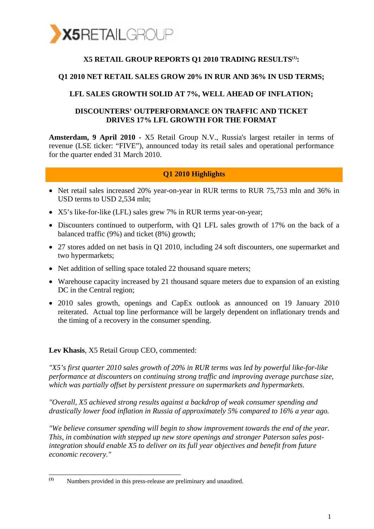

### X5 RETAIL GROUP REPORTS Q1 2010 TRADING RESULTS<sup>(1)</sup>:

#### **Q1 2010 NET RETAIL SALES GROW 20% IN RUR AND 36% IN USD TERMS;**

#### **LFL SALES GROWTH SOLID AT 7%, WELL AHEAD OF INFLATION;**

#### **DISCOUNTERS' OUTPERFORMANCE ON TRAFFIC AND TICKET DRIVES 17% LFL GROWTH FOR THE FORMAT**

**Amsterdam, 9 April 2010 -** X5 Retail Group N.V., Russia's largest retailer in terms of revenue (LSE ticker: "FIVE"), announced today its retail sales and operational performance for the quarter ended 31 March 2010.

#### **Q1 2010 Highlights**

- Net retail sales increased 20% year-on-year in RUR terms to RUR 75,753 mln and 36% in USD terms to USD 2,534 mln;
- X5's like-for-like (LFL) sales grew 7% in RUR terms year-on-year;
- Discounters continued to outperform, with Q1 LFL sales growth of 17% on the back of a balanced traffic (9%) and ticket (8%) growth;
- 27 stores added on net basis in Q1 2010, including 24 soft discounters, one supermarket and two hypermarkets;
- Net addition of selling space totaled 22 thousand square meters;
- Warehouse capacity increased by 21 thousand square meters due to expansion of an existing DC in the Central region;
- 2010 sales growth, openings and CapEx outlook as announced on 19 January 2010 reiterated. Actual top line performance will be largely dependent on inflationary trends and the timing of a recovery in the consumer spending.

**Lev Khasis**, X5 Retail Group CEO, commented:

\_\_\_\_\_\_\_\_\_\_\_\_\_\_\_\_\_\_\_\_\_\_\_\_\_\_\_\_\_\_\_\_\_\_\_

*"X5's first quarter 2010 sales growth of 20% in RUR terms was led by powerful like-for-like performance at discounters on continuing strong traffic and improving average purchase size, which was partially offset by persistent pressure on supermarkets and hypermarkets.* 

*"Overall, X5 achieved strong results against a backdrop of weak consumer spending and drastically lower food inflation in Russia of approximately 5% compared to 16% a year ago.* 

*"We believe consumer spending will begin to show improvement towards the end of the year. This, in combination with stepped up new store openings and stronger Paterson sales postintegration should enable X5 to deliver on its full year objectives and benefit from future economic recovery."* 

**<sup>(1)</sup>** Numbers provided in this press-release are preliminary and unaudited.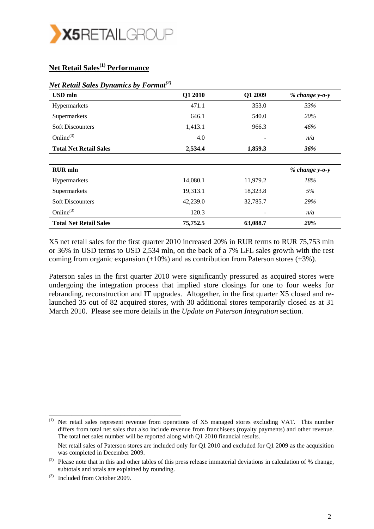

## **Net Retail Sales(1) Performance**

| <b>USD</b> mln                | Q1 2010  | Q1 2009  | % change y-o-y   |
|-------------------------------|----------|----------|------------------|
| Hypermarkets                  | 471.1    | 353.0    | 33%              |
| Supermarkets                  | 646.1    | 540.0    | 20%              |
| <b>Soft Discounters</b>       | 1,413.1  | 966.3    | 46%              |
| Online $^{(3)}$               | 4.0      |          | n/a              |
| <b>Total Net Retail Sales</b> | 2,534.4  | 1,859.3  | 36%              |
|                               |          |          |                  |
| <b>RUR</b> mln                |          |          | $% change y-o-y$ |
| Hypermarkets                  | 14,080.1 | 11,979.2 | 18%              |
| Supermarkets                  | 19,313.1 | 18,323.8 | 5%               |
| <b>Soft Discounters</b>       | 42,239.0 | 32,785.7 | 29%              |
| Online $^{(3)}$               | 120.3    |          | n/a              |
| <b>Total Net Retail Sales</b> | 75,752.5 | 63,088.7 | 20%              |

#### *Net Retail Sales Dynamics by Format(2)*

X5 net retail sales for the first quarter 2010 increased 20% in RUR terms to RUR 75,753 mln or 36% in USD terms to USD 2,534 mln, on the back of a 7% LFL sales growth with the rest coming from organic expansion  $(+10\%)$  and as contribution from Paterson stores  $(+3\%)$ .

Paterson sales in the first quarter 2010 were significantly pressured as acquired stores were undergoing the integration process that implied store closings for one to four weeks for rebranding, reconstruction and IT upgrades. Altogether, in the first quarter X5 closed and relaunched 35 out of 82 acquired stores, with 30 additional stores temporarily closed as at 31 March 2010. Please see more details in the *Update on Paterson Integration* section.

<sup>(1)</sup> Net retail sales represent revenue from operations of X5 managed stores excluding VAT. This number differs from total net sales that also include revenue from franchisees (royalty payments) and other revenue. The total net sales number will be reported along with Q1 2010 financial results. Net retail sales of Paterson stores are included only for Q1 2010 and excluded for Q1 2009 as the acquisition was completed in December 2009.

<sup>(2)</sup> Please note that in this and other tables of this press release immaterial deviations in calculation of  $%$  change, subtotals and totals are explained by rounding.

<sup>(3)</sup> Included from October 2009.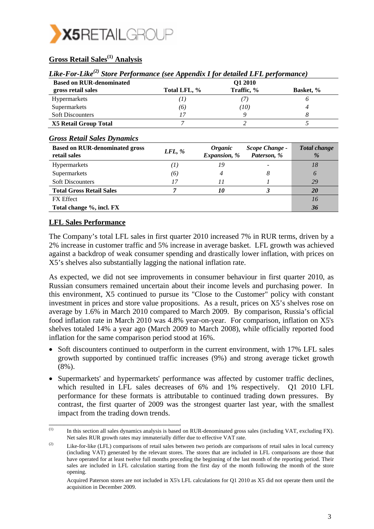

## **Gross Retail Sales(1) Analysis**

| Like-For-Like <sup>(2)</sup> Store Performance (see Appendix I for detailed LFL performance) |  |  |
|----------------------------------------------------------------------------------------------|--|--|
|                                                                                              |  |  |

| <b>Based on RUR-denominated</b> |              | O1 2010    |                  |
|---------------------------------|--------------|------------|------------------|
| gross retail sales              | Total LFL, % | Traffic, % | <b>Basket, %</b> |
| <b>Hypermarkets</b>             | ( L )        |            |                  |
| Supermarkets                    | (6)          | (10)       |                  |
| <b>Soft Discounters</b>         |              |            |                  |
| X5 Retail Group Total           |              |            |                  |

#### *Gross Retail Sales Dynamics*

| <b>Based on RUR-denominated gross</b><br>retail sales | $LFL$ , %        | <i><b>Organic</b></i><br>Expansion, % | Scope Change -<br>Paterson, % | <b>Total change</b><br>$\%$ |
|-------------------------------------------------------|------------------|---------------------------------------|-------------------------------|-----------------------------|
| <b>Hypermarkets</b>                                   | $\boldsymbol{I}$ | 19                                    |                               | 78                          |
| Supermarkets                                          | (6)              |                                       | 8                             | 6                           |
| <b>Soft Discounters</b>                               | 17               |                                       |                               | 29                          |
| <b>Total Gross Retail Sales</b>                       |                  | 10                                    |                               | <b>20</b>                   |
| <b>FX</b> Effect                                      |                  |                                       |                               | 76                          |
| Total change %, incl. FX                              |                  |                                       |                               | 36                          |

#### **LFL Sales Performance**

\_\_\_\_\_\_\_\_\_\_\_\_\_\_\_\_\_\_\_\_\_\_\_\_\_\_\_\_\_\_\_\_\_\_\_

The Company's total LFL sales in first quarter 2010 increased 7% in RUR terms, driven by a 2% increase in customer traffic and 5% increase in average basket. LFL growth was achieved against a backdrop of weak consumer spending and drastically lower inflation, with prices on X5's shelves also substantially lagging the national inflation rate.

As expected, we did not see improvements in consumer behaviour in first quarter 2010, as Russian consumers remained uncertain about their income levels and purchasing power. In this environment, X5 continued to pursue its "Close to the Customer" policy with constant investment in prices and store value propositions. As a result, prices on X5's shelves rose on average by 1.6% in March 2010 compared to March 2009. By comparison, Russia's official food inflation rate in March 2010 was 4.8% year-on-year. For comparison, inflation on X5's shelves totaled 14% a year ago (March 2009 to March 2008), while officially reported food inflation for the same comparison period stood at 16%.

- Soft discounters continued to outperform in the current environment, with 17% LFL sales growth supported by continued traffic increases (9%) and strong average ticket growth (8%).
- Supermarkets' and hypermarkets' performance was affected by customer traffic declines, which resulted in LFL sales decreases of 6% and 1% respectively. Q1 2010 LFL performance for these formats is attributable to continued trading down pressures. By contrast, the first quarter of 2009 was the strongest quarter last year, with the smallest impact from the trading down trends.

 $\mu$ <sup>(1)</sup> In this section all sales dynamics analysis is based on RUR-denominated gross sales (including VAT, excluding FX). Net sales RUR growth rates may immaterially differ due to effective VAT rate.

<sup>(2)</sup> Like-for-like (LFL) comparisons of retail sales between two periods are comparisons of retail sales in local currency (including VAT) generated by the relevant stores. The stores that are included in LFL comparisons are those that have operated for at least twelve full months preceding the beginning of the last month of the reporting period. Their sales are included in LFL calculation starting from the first day of the month following the month of the store opening.

Acquired Paterson stores are not included in X5's LFL calculations for Q1 2010 as X5 did not operate them until the acquisition in December 2009.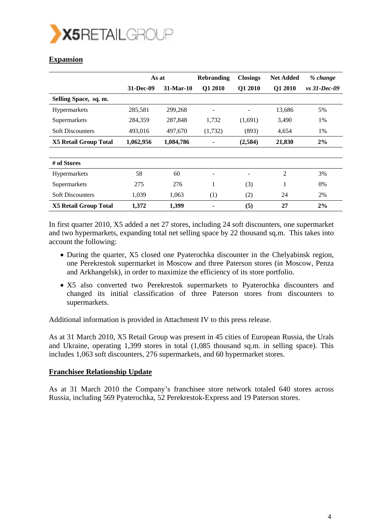

### **Expansion**

|                              | As at     |           | <b>Rebranding</b> | <b>Closings</b> | <b>Net Added</b> | % change       |
|------------------------------|-----------|-----------|-------------------|-----------------|------------------|----------------|
|                              | 31-Dec-09 | 31-Mar-10 | Q1 2010           | Q1 2010         | Q1 2010          | $vs$ 31-Dec-09 |
| Selling Space, sq. m.        |           |           |                   |                 |                  |                |
| Hypermarkets                 | 285,581   | 299,268   | ۰                 |                 | 13,686           | 5%             |
| Supermarkets                 | 284,359   | 287,848   | 1,732             | (1,691)         | 3,490            | 1%             |
| <b>Soft Discounters</b>      | 493,016   | 497,670   | (1,732)           | (893)           | 4,654            | 1%             |
| <b>X5 Retail Group Total</b> | 1,062,956 | 1,084,786 |                   | (2,584)         | 21,830           | 2%             |
| # of Stores                  |           |           |                   |                 |                  |                |
| <b>Hypermarkets</b>          | 58        | 60        |                   |                 | $\overline{2}$   | 3%             |
| Supermarkets                 | 275       | 276       | 1                 | (3)             | 1                | 0%             |
| <b>Soft Discounters</b>      | 1,039     | 1,063     | (1)               | (2)             | 24               | 2%             |
| <b>X5 Retail Group Total</b> | 1,372     | 1,399     |                   | (5)             | 27               | 2%             |

In first quarter 2010, X5 added a net 27 stores, including 24 soft discounters, one supermarket and two hypermarkets, expanding total net selling space by 22 thousand sq.m. This takes into account the following:

- During the quarter, X5 closed one Pyaterochka discounter in the Chelyabinsk region, one Perekrestok supermarket in Moscow and three Paterson stores (in Moscow, Penza and Arkhangelsk), in order to maximize the efficiency of its store portfolio.
- X5 also converted two Perekrestok supermarkets to Pyaterochka discounters and changed its initial classification of three Paterson stores from discounters to supermarkets.

Additional information is provided in Attachment IV to this press release.

As at 31 March 2010, X5 Retail Group was present in 45 cities of European Russia, the Urals and Ukraine, operating 1,399 stores in total (1,085 thousand sq.m. in selling space). This includes 1,063 soft discounters, 276 supermarkets, and 60 hypermarket stores.

#### **Franchisee Relationship Update**

As at 31 March 2010 the Company's franchisee store network totaled 640 stores across Russia, including 569 Pyaterochka, 52 Perekrestok-Express and 19 Paterson stores.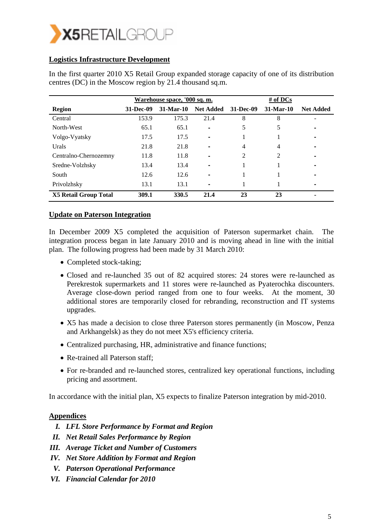

#### **Logistics Infrastructure Development**

|                              |           | Warehouse space, '000 sq. m. |                  |           | # of $DCs$  |                  |
|------------------------------|-----------|------------------------------|------------------|-----------|-------------|------------------|
| <b>Region</b>                | 31-Dec-09 | $31-Mar-10$                  | <b>Net Added</b> | 31-Dec-09 | $31-Mar-10$ | <b>Net Added</b> |
| Central                      | 153.9     | 175.3                        | 21.4             | 8         | 8           |                  |
| North-West                   | 65.1      | 65.1                         |                  | 5         | 5           |                  |
| Volgo-Vyatsky                | 17.5      | 17.5                         | -                |           |             |                  |
| Urals                        | 21.8      | 21.8                         |                  | 4         | 4           |                  |
| Centralno-Chernozemny        | 11.8      | 11.8                         |                  | 2         | 2           |                  |
| Sredne-Volzhsky              | 13.4      | 13.4                         |                  |           |             |                  |
| South                        | 12.6      | 12.6                         |                  |           |             |                  |
| Privolzhsky                  | 13.1      | 13.1                         |                  |           |             |                  |
| <b>X5 Retail Group Total</b> | 309.1     | 330.5                        | 21.4             | 23        | 23          |                  |

In the first quarter 2010 X5 Retail Group expanded storage capacity of one of its distribution centres (DC) in the Moscow region by 21.4 thousand sq.m.

#### **Update on Paterson Integration**

In December 2009 X5 completed the acquisition of Paterson supermarket chain. The integration process began in late January 2010 and is moving ahead in line with the initial plan. The following progress had been made by 31 March 2010:

- Completed stock-taking;
- Closed and re-launched 35 out of 82 acquired stores: 24 stores were re-launched as Perekrestok supermarkets and 11 stores were re-launched as Pyaterochka discounters. Average close-down period ranged from one to four weeks. At the moment, 30 additional stores are temporarily closed for rebranding, reconstruction and IT systems upgrades.
- X5 has made a decision to close three Paterson stores permanently (in Moscow, Penza and Arkhangelsk) as they do not meet X5's efficiency criteria.
- Centralized purchasing, HR, administrative and finance functions;
- Re-trained all Paterson staff:
- For re-branded and re-launched stores, centralized key operational functions, including pricing and assortment.

In accordance with the initial plan, X5 expects to finalize Paterson integration by mid-2010.

#### **Appendices**

- *I. LFL Store Performance by Format and Region*
- *II. Net Retail Sales Performance by Region*
- *III. Average Ticket and Number of Customers*
- *IV. Net Store Addition by Format and Region*
- *V. Paterson Operational Performance*
- *VI. Financial Calendar for 2010*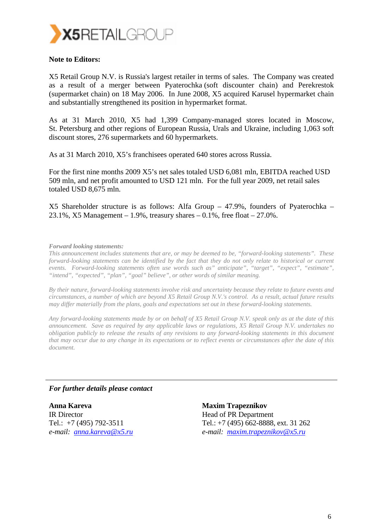

#### **Note to Editors:**

X5 Retail Group N.V. is Russia's largest retailer in terms of sales. The Company was created as a result of a merger between Pyaterochka (soft discounter chain) and Perekrestok (supermarket chain) on 18 May 2006. In June 2008, X5 acquired Karusel hypermarket chain and substantially strengthened its position in hypermarket format.

As at 31 March 2010, X5 had 1,399 Company-managed stores located in Moscow, St. Petersburg and other regions of European Russia, Urals and Ukraine, including 1,063 soft discount stores, 276 supermarkets and 60 hypermarkets.

As at 31 March 2010, X5's franchisees operated 640 stores across Russia.

For the first nine months 2009 X5's net sales totaled USD 6,081 mln, EBITDA reached USD 509 mln, and net profit amounted to USD 121 mln. For the full year 2009, net retail sales totaled USD 8,675 mln.

X5 Shareholder structure is as follows: Alfa Group – 47.9%, founders of Pyaterochka – 23.1%, X5 Management – 1.9%, treasury shares – 0.1%, free float –  $27.0\%$ .

#### *Forward looking statements:*

*This announcement includes statements that are, or may be deemed to be, "forward-looking statements". These forward-looking statements can be identified by the fact that they do not only relate to historical or current events. Forward-looking statements often use words such as" anticipate", "target", "expect", "estimate", "intend", "expected", "plan", "goal" believe", or other words of similar meaning.* 

*By their nature, forward-looking statements involve risk and uncertainty because they relate to future events and circumstances, a number of which are beyond X5 Retail Group N.V.'s control. As a result, actual future results may differ materially from the plans, goals and expectations set out in these forward-looking statements.* 

*Any forward-looking statements made by or on behalf of X5 Retail Group N.V. speak only as at the date of this announcement. Save as required by any applicable laws or regulations, X5 Retail Group N.V. undertakes no obligation publicly to release the results of any revisions to any forward-looking statements in this document that may occur due to any change in its expectations or to reflect events or circumstances after the date of this document.* 

#### *For further details please contact*

**Anna Kareva**  IR Director Tel.: +7 (495) 792-3511 *e-mail: anna.kareva@x5.ru* **Maxim Trapeznikov**  Head of PR Department Tel.: +7 (495) 662-8888, ext. 31 262 *e-mail: maxim.trapeznikov@x5.ru*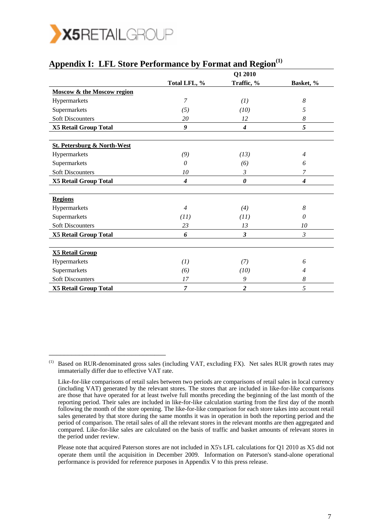

\_\_\_\_\_\_\_\_\_\_\_\_\_\_\_\_\_\_\_\_\_\_\_\_\_\_\_\_\_\_\_

|                                        |                | Q1 2010          |                  |
|----------------------------------------|----------------|------------------|------------------|
|                                        | Total LFL, %   | Traffic, %       | Basket, %        |
| <b>Moscow &amp; the Moscow region</b>  |                |                  |                  |
| Hypermarkets                           | 7              | (1)              | 8                |
| Supermarkets                           | (5)            | (10)             | 5                |
| <b>Soft Discounters</b>                | 20             | 12               | $\boldsymbol{8}$ |
| X5 Retail Group Total                  | 9              | $\boldsymbol{4}$ | 5                |
|                                        |                |                  |                  |
| <b>St. Petersburg &amp; North-West</b> |                |                  |                  |
| Hypermarkets                           | (9)            | (13)             | $\overline{4}$   |
| Supermarkets                           | 0              | (6)              | 6                |
| <b>Soft Discounters</b>                | 10             | 3                | 7                |
| <b>X5 Retail Group Total</b>           | 4              | 0                | $\boldsymbol{4}$ |
|                                        |                |                  |                  |
| <b>Regions</b>                         |                |                  |                  |
| Hypermarkets                           | $\overline{4}$ | (4)              | 8                |
| Supermarkets                           | (11)           | (11)             | 0                |
| <b>Soft Discounters</b>                | 23             | 13               | 10               |
| <b>X5 Retail Group Total</b>           | 6              | 3                | $\mathfrak{Z}$   |
|                                        |                |                  |                  |
| <b>X5 Retail Group</b>                 |                |                  |                  |
| Hypermarkets                           | (I)            | (7)              | 6                |
| Supermarkets                           | (6)            | (10)             | $\overline{4}$   |
| <b>Soft Discounters</b>                | 17             | 9                | $\boldsymbol{8}$ |
| <b>X5 Retail Group Total</b>           | $\overline{7}$ | $\overline{c}$   | 5                |

### Appendix I: LFL Store Performance by Format and Region<sup>(1)</sup>

<sup>(1)</sup> Based on RUR-denominated gross sales (including VAT, excluding FX). Net sales RUR growth rates may immaterially differ due to effective VAT rate.

Like-for-like comparisons of retail sales between two periods are comparisons of retail sales in local currency (including VAT) generated by the relevant stores. The stores that are included in like-for-like comparisons are those that have operated for at least twelve full months preceding the beginning of the last month of the reporting period. Their sales are included in like-for-like calculation starting from the first day of the month following the month of the store opening. The like-for-like comparison for each store takes into account retail sales generated by that store during the same months it was in operation in both the reporting period and the period of comparison. The retail sales of all the relevant stores in the relevant months are then aggregated and compared. Like-for-like sales are calculated on the basis of traffic and basket amounts of relevant stores in the period under review.

Please note that acquired Paterson stores are not included in X5's LFL calculations for Q1 2010 as X5 did not operate them until the acquisition in December 2009. Information on Paterson's stand-alone operational performance is provided for reference purposes in Appendix V to this press release.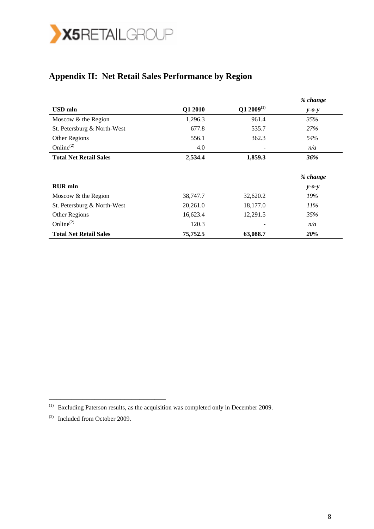

# **Appendix II: Net Retail Sales Performance by Region**

|                               |          |                 | % change    |
|-------------------------------|----------|-----------------|-------------|
| <b>USD</b> mln                | Q1 2010  | $Q1 2009^{(1)}$ | $v$ -0- $v$ |
| Moscow & the Region           | 1,296.3  | 961.4           | 35%         |
| St. Petersburg & North-West   | 677.8    | 535.7           | <b>27%</b>  |
| Other Regions                 | 556.1    | 362.3           | 54%         |
| Online $^{(2)}$               | 4.0      |                 | n/a         |
| <b>Total Net Retail Sales</b> | 2,534.4  | 1,859.3         | 36%         |
|                               |          |                 |             |
|                               |          |                 | % change    |
| <b>RUR</b> mln                |          |                 | $y - 0 - y$ |
| Moscow & the Region           | 38,747.7 | 32,620.2        | 19%         |
| St. Petersburg & North-West   | 20,261.0 | 18,177.0        | $11\%$      |
| Other Regions                 | 16,623.4 | 12,291.5        | 35%         |
| Online $^{(2)}$               | 120.3    |                 | n/a         |
| <b>Total Net Retail Sales</b> | 75,752.5 | 63,088.7        | 20%         |

<sup>(1)</sup> Excluding Paterson results, as the acquisition was completed only in December 2009.

 $(2)$  Included from October 2009.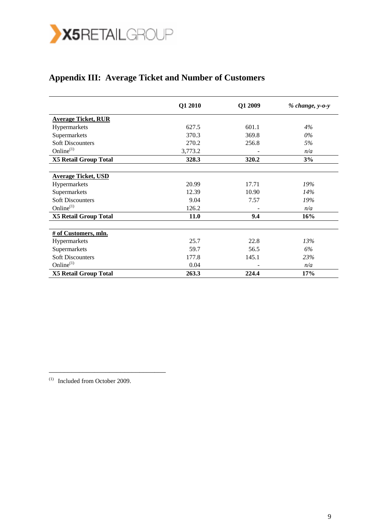

## **Appendix III: Average Ticket and Number of Customers**

|                              | Q1 2010 | Q1 2009 | $% change, y-o-y$ |
|------------------------------|---------|---------|-------------------|
| <b>Average Ticket, RUR</b>   |         |         |                   |
| Hypermarkets                 | 627.5   | 601.1   | 4%                |
| Supermarkets                 | 370.3   | 369.8   | $0\%$             |
| <b>Soft Discounters</b>      | 270.2   | 256.8   | 5%                |
| Online <sup>(1)</sup>        | 3,773.2 |         | n/a               |
| <b>X5 Retail Group Total</b> | 328.3   | 320.2   | 3%                |
|                              |         |         |                   |
| <b>Average Ticket, USD</b>   |         |         |                   |
| Hypermarkets                 | 20.99   | 17.71   | 19%               |
| Supermarkets                 | 12.39   | 10.90   | 14%               |
| <b>Soft Discounters</b>      | 9.04    | 7.57    | 19%               |
| Online <sup>(1)</sup>        | 126.2   |         | n/a               |
| <b>X5 Retail Group Total</b> | 11.0    | 9.4     | 16%               |
|                              |         |         |                   |
| # of Customers, mln.         |         |         |                   |
| Hypermarkets                 | 25.7    | 22.8    | 13%               |
| Supermarkets                 | 59.7    | 56.5    | 6%                |
| <b>Soft Discounters</b>      | 177.8   | 145.1   | 23%               |
| Online <sup>(1)</sup>        | 0.04    |         | n/a               |
| <b>X5 Retail Group Total</b> | 263.3   | 224.4   | 17%               |

(1) Included from October 2009.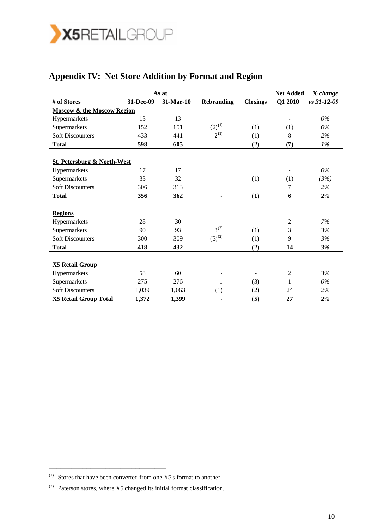

# **Appendix IV: Net Store Addition by Format and Region**

|                                        |           | As at     |                   |                          | <b>Net Added</b> | % change    |
|----------------------------------------|-----------|-----------|-------------------|--------------------------|------------------|-------------|
| # of Stores                            | 31-Dec-09 | 31-Mar-10 | <b>Rebranding</b> | <b>Closings</b>          | Q1 2010          | vs 31-12-09 |
| <b>Moscow &amp; the Moscow Region</b>  |           |           |                   |                          |                  |             |
| Hypermarkets                           | 13        | 13        |                   |                          |                  | 0%          |
| Supermarkets                           | 152       | 151       | $(2)^{(1)}$       | (1)                      | (1)              | $0\%$       |
| <b>Soft Discounters</b>                | 433       | 441       | $2^{(1)}$         | (1)                      | 8                | 2%          |
| <b>Total</b>                           | 598       | 605       | $\blacksquare$    | (2)                      | (7)              | 1%          |
|                                        |           |           |                   |                          |                  |             |
| <b>St. Petersburg &amp; North-West</b> |           |           |                   |                          |                  |             |
| Hypermarkets                           | 17        | 17        |                   |                          |                  | $0\%$       |
| Supermarkets                           | 33        | 32        |                   | (1)                      | (1)              | (3%)        |
| <b>Soft Discounters</b>                | 306       | 313       |                   |                          | 7                | 2%          |
| <b>Total</b>                           | 356       | 362       |                   | (1)                      | 6                | 2%          |
|                                        |           |           |                   |                          |                  |             |
| <b>Regions</b>                         |           |           |                   |                          |                  |             |
| Hypermarkets                           | 28        | 30        |                   |                          | $\mathfrak{2}$   | 7%          |
| Supermarkets                           | 90        | 93        | $3^{(2)}$         | (1)                      | 3                | 3%          |
| <b>Soft Discounters</b>                | 300       | 309       | $(3)^{(2)}$       | (1)                      | 9                | 3%          |
| <b>Total</b>                           | 418       | 432       |                   | (2)                      | 14               | 3%          |
|                                        |           |           |                   |                          |                  |             |
| <b>X5 Retail Group</b>                 |           |           |                   |                          |                  |             |
| Hypermarkets                           | 58        | 60        |                   | $\overline{\phantom{a}}$ | $\overline{2}$   | 3%          |
| Supermarkets                           | 275       | 276       | 1                 | (3)                      | 1                | $0\%$       |
| <b>Soft Discounters</b>                | 1,039     | 1,063     | (1)               | (2)                      | 24               | 2%          |
| <b>X5 Retail Group Total</b>           | 1,372     | 1,399     |                   | (5)                      | 27               | 2%          |

 $(1)$  Stores that have been converted from one X5's format to another.

 $(2)$  Paterson stores, where X5 changed its initial format classification.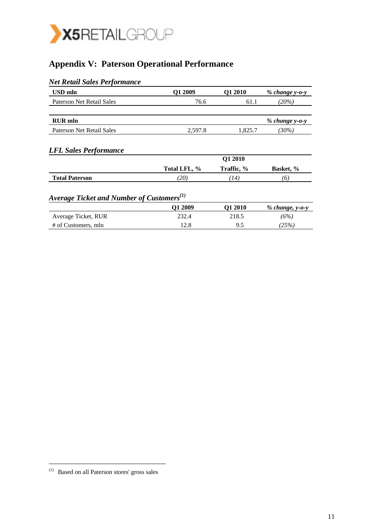

## **Appendix V: Paterson Operational Performance**

| <b>Net Retail Sales Performance</b>                   |              |                       |                   |  |
|-------------------------------------------------------|--------------|-----------------------|-------------------|--|
| <b>USD</b> mln                                        | Q1 2009      | Q1 2010               | $% change y-o-y$  |  |
| <b>Paterson Net Retail Sales</b>                      | 76.6         | 61.1                  | $(20\%)$          |  |
| <b>RUR</b> mln                                        |              |                       | $% change y-o-y$  |  |
| <b>Paterson Net Retail Sales</b>                      | 2,597.8      | 1,825.7               | $(30\%)$          |  |
| <b>LFL Sales Performance</b>                          | Total LFL, % | Q1 2010<br>Traffic, % | Basket, %         |  |
| <b>Total Paterson</b>                                 | (20)         | (14)                  | (6)               |  |
| Average Ticket and Number of Customers <sup>(1)</sup> |              |                       |                   |  |
|                                                       | Q1 2009      | Q1 2010               | $% change, y-o-y$ |  |
| Average Ticket, RUR                                   | 232.4        | 218.5                 | (6%)              |  |
| # of Customers, mln                                   | 12.8         | 9.5                   | (25%)             |  |

<sup>(1)</sup> Based on all Paterson stores' gross sales